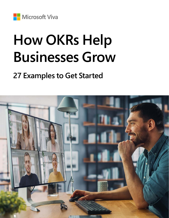**Microsoft Viva** 

# **How OKRs Help Businesses Grow**

### **27 Examples to Get Started**

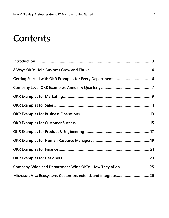### **Contents**

| Company-Wide and Department-Wide OKRs: How They Align25 |  |
|---------------------------------------------------------|--|
|                                                         |  |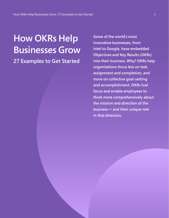### **How OKRs Help Businesses Grow**

**27 Examples to Get Started**

**Some of the world's most innovative businesses, from Intel to Google, have embedded Objectives and Key Results (OKRs) into their business. Why? OKRs help organizations focus less on task assignment and completion, and more on collective goal-setting and accomplishment. OKRs fuel focus and enable employees to think more comprehensively about the mission and direction of the business — and their unique role in that direction.**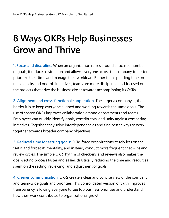### **8 Ways OKRs Help Businesses Grow and Thrive**

**1. Focus and discipline:** When an organization rallies around a focused number of goals, it reduces distraction and allows everyone across the company to better prioritize their time and manage their workload. Rather than spending time on menial tasks and one-off initiatives, teams are more disciplined and focused on the projects that drive the business closer towards accomplishing its OKRs.

**2. Alignment and cross-functional cooperation**: The larger a company is, the harder it is to keep everyone aligned and working towards the same goals. The use of shared OKRs improves collaboration among departments and teams. Employees can quickly identify goals, contributors, and unify against competing initiatives. Together, they solve interdependencies and find better ways to work together towards broader company objectives.

**3. Reduced time for setting goals:** OKRs force organizations to rely less on the "set it and forget it" mentality, and instead, conduct more frequent check-ins and review cycles. The simple OKR rhythm of check-ins and reviews also makes the goal-setting process faster and easier, drastically reducing the time and resources spent on the setting, reviewing, and adjustment of goals.

**4. Clearer communication:** OKRs create a clear and concise view of the company and team-wide goals and priorities. This consolidated version of truth improves transparency, allowing everyone to see top business priorities and understand how their work contributes to organizational growth.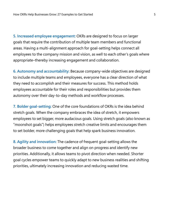**5. Increased employee engagement:** OKRs are designed to focus on larger goals that require the contribution of multiple team members and functional areas. Having a multi-alignment approach for goal-setting helps connect all employees to the company mission and vision, as well to each other's goals where appropriate–thereby increasing engagement and collaboration.

**6. Autonomy and accountability:** Because company-wide objectives are designed to include multiple teams and employees, everyone has a clear direction of what they need to accomplish and their measures for success. This method holds employees accountable for their roles and responsibilities but provides them autonomy over their day-to-day methods and workflow processes.

**7. Bolder goal-setting:** One of the core foundations of OKRs is the idea behind stretch goals. When the company embraces the idea of stretch, it empowers employees to set bigger, more audacious goals. Using stretch goals (also known as "moonshot goals") helps employees stretch creative limits and encourages them to set bolder, more challenging goals that help spark business innovation.

**8. Agility and innovation:** The cadence of frequent goal-setting allows the broader business to come together and align on progress and identify new priorities. Additionally, it allows teams to pivot direction when needed. Shorter goal cycles empower teams to quickly adapt to new business realities and shifting priorities, ultimately increasing innovation and reducing wasted time.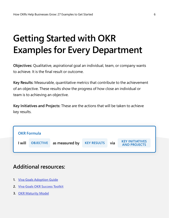## **Getting Started with OKR Examples for Every Department**

**Objectives:** Qualitative, aspirational goal an individual, team, or company wants to achieve. It is the final result or outcome.

**Key Results:** Measurable, quantitative metrics that contribute to the achievement of an objective. These results show the progress of how close an individual or team is to achieving an objective.

**Key Initiatives and Projects:** These are the actions that will be taken to achieve key results.



### **Additional resources:**

- **1. [Viva Goals Adoption Guide](https://go.microsoft.com/fwlink/?linkid=2193441)**
- **2. [Viva Goals OKR Success Toolkit](https://go.microsoft.com/fwlink/?linkid=2193803)**
- **3. [OKR Maturity Model](https://go.microsoft.com/fwlink/?linkid=2193442)**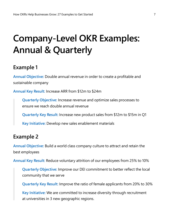## **Company-Level OKR Examples: Annual & Quarterly**

### **Example 1**

**Annual Objective:** Double annual revenue in order to create a profitable and sustainable company

**Annual Key Result:** Increase ARR from \$12m to \$24m

**Quarterly Objective:** Increase revenue and optimize sales processes to ensure we reach double annual revenue

**Quarterly Key Result:** Increase new product sales from \$12m to \$15m in Q1

**Key Initiative:** Develop new sales enablement materials

### **Example 2**

**Annual Objective:** Build a world class company culture to attract and retain the best employees

**Annual Key Result:** Reduce voluntary attrition of our employees from 25% to 10%

**Quarterly Objective:** Improve our DEI commitment to better reflect the local community that we serve

**Quarterly Key Result:** Improve the ratio of female applicants from 20% to 30%

**Key Initiative:** We are committed to increase diversity through recruitment at universities in 3 new geographic regions.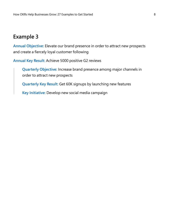**Annual Objective:** Elevate our brand presence in order to attract new prospects and create a fiercely loyal customer following

**Annual Key Result:** Achieve 5000 positive G2 reviews

**Quarterly Objective:** Increase brand presence among major channels in order to attract new prospects

**Quarterly Key Result:** Get 60K signups by launching new features

**Key Initiative:** Develop new social media campaign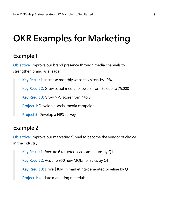### **OKR Examples for Marketing**

### **Example 1**

**Objective:** Improve our brand presence through media channels to strengthen brand as a leader

**Key Result 1:** Increase monthly website visitors by 10% **Key Result 2:** Grow social media followers from 50,000 to 75,000 **Key Result 3:** Grow NPS score from 7 to 8 **Project 1:** Develop a social media campaign **Project 2:** Develop a NPS survey

### **Example 2**

**Objective:** Improve our marketing funnel to become the vendor of choice in the industry

**Key Result 1:** Execute 6 targeted lead campaigns by Q1

**Key Result 2:** Acquire 950 new MQLs for sales by Q1

**Key Result 3:** Drive \$10M in marketing-generated pipeline by Q1

**Project 1:** Update marketing materials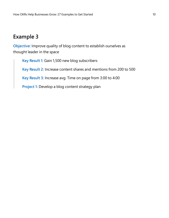**Objective:** Improve quality of blog content to establish ourselves as thought leader in the space

**Key Result 1:** Gain 1,500 new blog subscribers **Key Result 2:** Increase content shares and mentions from 200 to 500 **Key Result 3:** Increase avg. Time on page from 3:00 to 4:00 **Project 1:** Develop a blog content strategy plan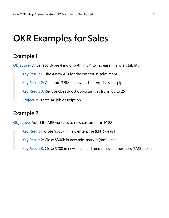### **OKR Examples for Sales**

### **Example 1**

**Objective:** Drive record-breaking growth in Q4 to increase financial stability

**Key Result 1:** Hire 4 new AEs for the enterprise sales team **Key Result 2:** Generate 3.5M in new mid-enterprise sales pipeline

**Key Result 3:** Reduce closed/lost opportunities from 100 to 25

**Project 1:** Create AE job description

### **Example 2**

**Objective:** Add \$1M ARR via sales to new customers in FY22

**Key Result 1:** Close \$500k in new enterprise (ENT) deals1

**Key Result 2:** Close \$300k in new mid-market (mm) deals

**Key Result 3:** Close \$200 in new small and medium-sized business (SMB) deals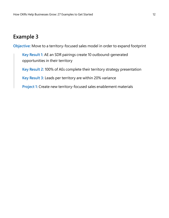**Objective:** Move to a territory-focused sales model in order to expand footprint

**Key Result 1:** AE an SDR pairings create 10 outbound-generated opportunities in their territory

**Key Result 2:** 100% of AEs complete their territory strategy presentation

**Key Result 3:** Leads per territory are within 20% variance

**Project 1:** Create new territory-focused sales enablement materials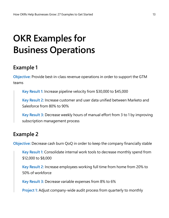## **OKR Examples for Business Operations**

### **Example 1**

**Objective:** Provide best-in-class revenue operations in order to support the GTM teams

**Key Result 1:** Increase pipeline velocity from \$30,000 to \$45,000

**Key Result 2:** Increase customer and user data unified between Marketo and Salesforce from 80% to 90%

**Key Result 3:** Decrease weekly hours of manual effort from 3 to 1 by improving subscription management process

#### **Example 2**

**Objective:** Decrease cash burn QoQ in order to keep the company financially stable

**Key Result 1:** Consolidate internal work tools to decrease monthly spend from \$12,000 to \$8,000

**Key Result 2:** Increase employees working full time from home from 20% to 50% of workforce

**Key Result 3:** Decrease variable expenses from 8% to 6%

**Project 1:** Adjust company-wide audit process from quarterly to monthly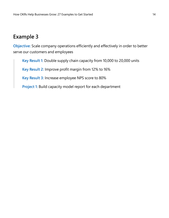**Objective:** Scale company operations efficiently and effectively in order to better serve our customers and employees

**Key Result 1:** Double supply chain capacity from 10,000 to 20,000 units

**Key Result 2:** Improve profit margin from 12% to 16%

**Key Result 3:** Increase employee NPS score to 80%

**Project 1:** Build capacity model report for each department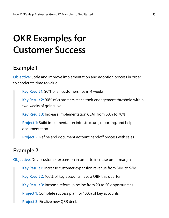## **OKR Examples for Customer Success**

### **Example 1**

**Objective:** Scale and improve implementation and adoption process in order to accelerate time to value

**Key Result 1:** 90% of all customers live in 4 weeks

**Key Result 2:** 90% of customers reach their engagement threshold within two weeks of going live

**Key Result 3:** Increase implementation CSAT from 60% to 70%

**Project 1:** Build implementation infrastructure, reporting, and help documentation

**Project 2:** Refine and document account handoff process with sales

### **Example 2**

**Objective:** Drive customer expansion in order to increase profit margins

**Key Result 1:** Increase customer expansion revenue from \$1M to \$2M

**Key Result 2:** 100% of key accounts have a QBR this quarter

**Key Result 3:** Increase referral pipeline from 20 to 50 opportunities

**Project 1:** Complete success plan for 100% of key accounts

**Project 2:** Finalize new QBR deck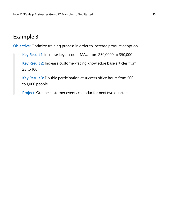**Objective:** Optimize training process in order to increase product adoption

**Key Result 1:** Increase key account MAU from 250,0000 to 350,000

**Key Result 2:** Increase customer-facing knowledge base articles from 25 to 100

**Key Result 3:** Double participation at success office hours from 500 to 1,000 people

**Project:** Outline customer events calendar for next two quarters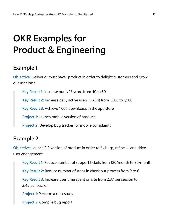## **OKR Examples for Product & Engineering**

### **Example 1**

**Objective:** Deliver a "must have" product in order to delight customers and grow our user base

**Key Result 1:** Increase our NPS score from 40 to 50

**Key Result 2:** Increase daily active users (DAUs) from 1,200 to 1,500

**Key Result 3:** Achieve 1,000 downloads in the app store

**Project 1:** Launch mobile version of product

**Project 2:** Develop bug tracker for mobile complaints

### **Example 2**

**Objective:** Launch 2.0 version of product in order to fix bugs, refine UI and drive user engagement

**Key Result 1:** Reduce number of support tickets from 120/month to 30/month **Key Result 2:** Reduce number of steps in check out process from 9 to 6 **Key Result 3:** Increase user time spent on site from 2:37 per session to 3:45 per session **Project 1:** Perform a click study **Project 2:** Compile bug report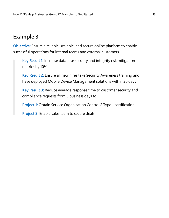**Objective:** Ensure a reliable, scalable, and secure online platform to enable successful operations for internal teams and external customers

**Key Result 1:** Increase database security and integrity risk mitigation metrics by 10%

**Key Result 2:** Ensure all new hires take Security Awareness training and have deployed Mobile Device Management solutions within 30 days

**Key Result 3:** Reduce average response time to customer security and compliance requests from 3 business days to 2

**Project 1:** Obtain Service Organization Control 2 Type 1 certification

**Project 2:** Enable sales team to secure deals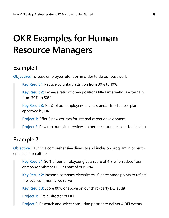### **OKR Examples for Human Resource Managers**

### **Example 1**

**Objective:** Increase employee retention in order to do our best work

**Key Result 1:** Reduce voluntary attrition from 30% to 10%

**Key Result 2:** Increase ratio of open positions filled internally vs externally from 30% to 50%

**Key Result 3:** 100% of our employees have a standardized career plan approved by HR

**Project 1:** Offer 5 new courses for internal career development

**Project 2:** Revamp our exit interviews to better capture reasons for leaving

### **Example 2**

**Objective:** Launch a comprehensive diversity and inclusion program in order to enhance our culture

**Key Result 1:** 90% of our employees give a score of 4 + when asked "our company embraces DEI as part of our DNA

**Key Result 2:** Increase company diversity by 10 percentage points to reflect the local community we serve

**Key Result 3:** Score 80% or above on our third-party DEI audit

**Project 1:** Hire a Director of DEI

**Project 2:** Research and select consulting partner to deliver 4 DEI events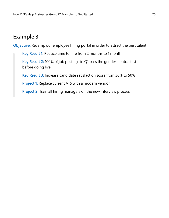**Objective:** Revamp our employee hiring portal in order to attract the best talent

**Key Result 1:** Reduce time to hire from 2 months to 1 month **Key Result 2:** 100% of job postings in Q1 pass the gender-neutral test before going live **Key Result 3:** Increase candidate satisfaction score from 30% to 50% **Project 1:** Replace current ATS with a modern vendor

**Project 2:** Train all hiring managers on the new interview process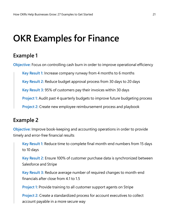### **OKR Examples for Finance**

### **Example 1**

**Objective:** Focus on controlling cash burn in order to improve operational efficiency

**Key Result 1:** Increase company runway from 4 months to 6 months

**Key Result 2:** Reduce budget approval process from 30 days to 20 days

**Key Result 3:** 95% of customers pay their invoices within 30 days

**Project 1:** Audit past 4 quarterly budgets to improve future budgeting process

**Project 2:** Create new employee reimbursement process and playbook

### **Example 2**

**Objective:** Improve book-keeping and accounting operations in order to provide timely and error-free financial results

**Key Result 1:** Reduce time to complete final month-end numbers from 15 days to 10 days

**Key Result 2:** Ensure 100% of customer purchase data is synchronized between Salesforce and Stripe

**Key Result 3:** Reduce average number of required changes to month-end financials after close from 4.1 to 1.5

**Project 1:** Provide training to all customer support agents on Stripe

**Project 2:** Create a standardized process for account executives to collect account payable in a more secure way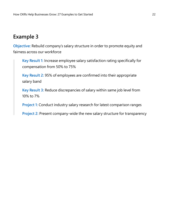**Objective:** Rebuild company's salary structure in order to promote equity and fairness across our workforce

**Key Result 1:** Increase employee salary satisfaction rating specifically for compensation from 50% to 75%

**Key Result 2:** 95% of employees are confirmed into their appropriate salary band

**Key Result 3:** Reduce discrepancies of salary within same job level from 10% to 7%

**Project 1:** Conduct industry salary research for latest comparison ranges

**Project 2:** Present company-wide the new salary structure for transparency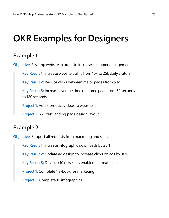### **OKR Examples for Designers**

### **Example 1**

**Objective:** Revamp website in order to increase customer engagement

**Key Result 1:** Increase website traffic from 10k to 25k daily visitors

**Key Result 2:** Reduce clicks between major pages from 5 to 2

**Key Result 3:** Increase average time on home page from 52 seconds to 120 seconds

**Project 1:** Add 5 product videos to website

**Project 2:** A/B test landing page design layout

### **Example 2**

**Objective:** Support all requests from marketing and sales

**Key Result 1:** Increase infographic downloads by 25%

**Key Result 2:** Update ad design to increase clicks on ads by 30%

**Key Result 3:** Develop 10 new sales enablement materials

**Project 1:** Complete 1 e-book for marketing

**Project 2:** Complete 15 infographics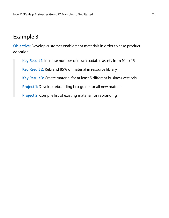**Objective:** Develop customer enablement materials in order to ease product adoption

**Key Result 1:** Increase number of downloadable assets from 10 to 25 **Key Result 2:** Rebrand 85% of material in resource library

**Key Result 3:** Create material for at least 5 different business verticals

**Project 1:** Develop rebranding hex guide for all new material

**Project 2:** Compile list of existing material for rebranding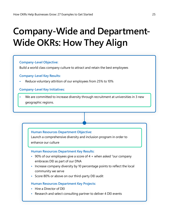## **Company-Wide and Department-Wide OKRs: How They Align**

#### **Company-Level Objective:**

Build a world class company culture to attract and retain the best employees

#### **Company-Level Key Results:**

**•** Reduce voluntary attrition of our employees from 25% to 10%

#### **Company-Level Key Initiatives:**

**•** We are committed to increase diversity through recruitment at universities in 3 new geographic regions.

#### **Human Resources Department Objective:**

Launch a comprehensive diversity and inclusion program in order to enhance our culture

#### **Human Resources Department Key Results:**

- **•** 90% of our employees give a score of 4 + when asked "our company embraces DEI as part of our DNA
- **•** Increase company diversity by 10 percentage points to reflect the local community we serve
- **•** Score 80% or above on our third-party DEI audit

#### **Human Resources Department Key Projects:**

- **•** Hire a Director of DEI
- **•** Research and select consulting partner to deliver 4 DEI events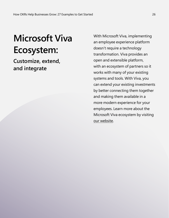## **Microsoft Viva Ecosystem:**

**Customize, extend, and integrate**

With Microsoft Viva, implementing an employee experience platform doesn't require a technology transformation. Viva provides an open and extensible platform, with an ecosystem of partners so it works with many of your existing systems and tools. With Viva, you can extend your existing investments by better connecting them together and making them available in a more modern experience for your employees. Learn more about the Microsoft Viva ecosystem by visiting [our website](https://www.microsoft.com/microsoft-viva).